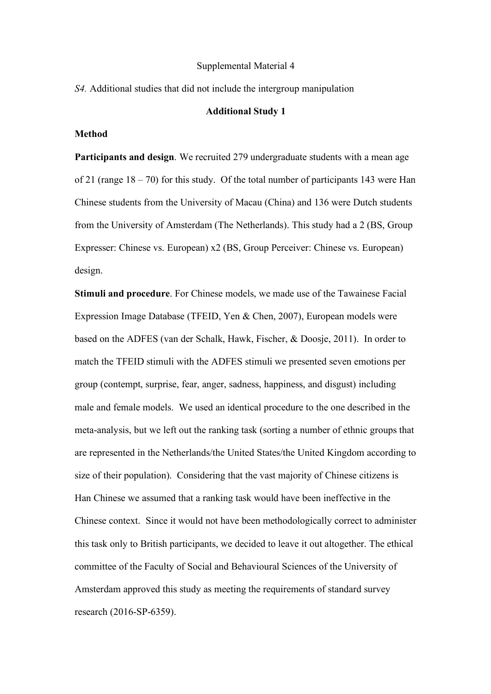#### Supplemental Material 4

*S4.* Additional studies that did not include the intergroup manipulation

#### **Additional Study 1**

# **Method**

**Participants and design**. We recruited 279 undergraduate students with a mean age of 21 (range 18 – 70) for this study. Of the total number of participants 143 were Han Chinese students from the University of Macau (China) and 136 were Dutch students from the University of Amsterdam (The Netherlands). This study had a 2 (BS, Group Expresser: Chinese vs. European) x2 (BS, Group Perceiver: Chinese vs. European) design.

**Stimuli and procedure**. For Chinese models, we made use of the Tawainese Facial Expression Image Database (TFEID, Yen & Chen, 2007), European models were based on the ADFES (van der Schalk, Hawk, Fischer, & Doosje, 2011). In order to match the TFEID stimuli with the ADFES stimuli we presented seven emotions per group (contempt, surprise, fear, anger, sadness, happiness, and disgust) including male and female models. We used an identical procedure to the one described in the meta-analysis, but we left out the ranking task (sorting a number of ethnic groups that are represented in the Netherlands/the United States/the United Kingdom according to size of their population). Considering that the vast majority of Chinese citizens is Han Chinese we assumed that a ranking task would have been ineffective in the Chinese context. Since it would not have been methodologically correct to administer this task only to British participants, we decided to leave it out altogether. The ethical committee of the Faculty of Social and Behavioural Sciences of the University of Amsterdam approved this study as meeting the requirements of standard survey research (2016-SP-6359).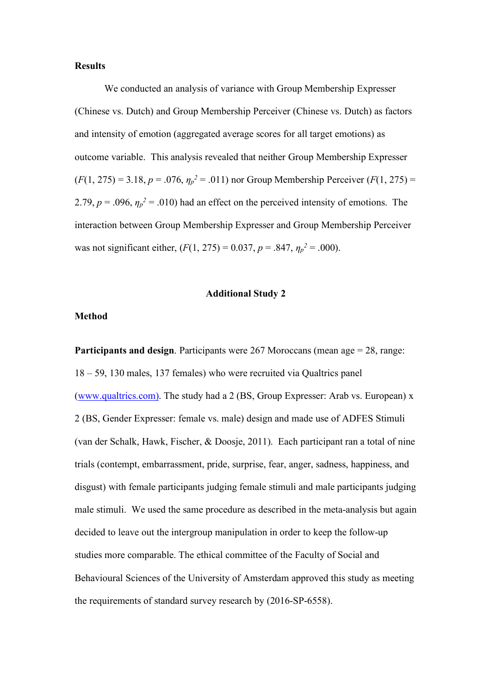### **Results**

We conducted an analysis of variance with Group Membership Expresser (Chinese vs. Dutch) and Group Membership Perceiver (Chinese vs. Dutch) as factors and intensity of emotion (aggregated average scores for all target emotions) as outcome variable. This analysis revealed that neither Group Membership Expresser  $(F(1, 275) = 3.18, p = .076, \eta_p^2 = .011)$  nor Group Membership Perceiver  $(F(1, 275) =$ 2.79,  $p = 0.096$ ,  $\eta_p^2 = 0.010$ ) had an effect on the perceived intensity of emotions. The interaction between Group Membership Expresser and Group Membership Perceiver was not significant either,  $(F(1, 275) = 0.037, p = .847, \eta_p^2 = .000)$ .

### **Additional Study 2**

# **Method**

**Participants and design**. Participants were 267 Moroccans (mean age = 28, range: 18 – 59, 130 males, 137 females) who were recruited via Qualtrics panel (www.qualtrics.com). The study had a 2 (BS, Group Expresser: Arab vs. European) x 2 (BS, Gender Expresser: female vs. male) design and made use of ADFES Stimuli (van der Schalk, Hawk, Fischer, & Doosje, 2011). Each participant ran a total of nine trials (contempt, embarrassment, pride, surprise, fear, anger, sadness, happiness, and disgust) with female participants judging female stimuli and male participants judging male stimuli. We used the same procedure as described in the meta-analysis but again decided to leave out the intergroup manipulation in order to keep the follow-up studies more comparable. The ethical committee of the Faculty of Social and Behavioural Sciences of the University of Amsterdam approved this study as meeting the requirements of standard survey research by (2016-SP-6558).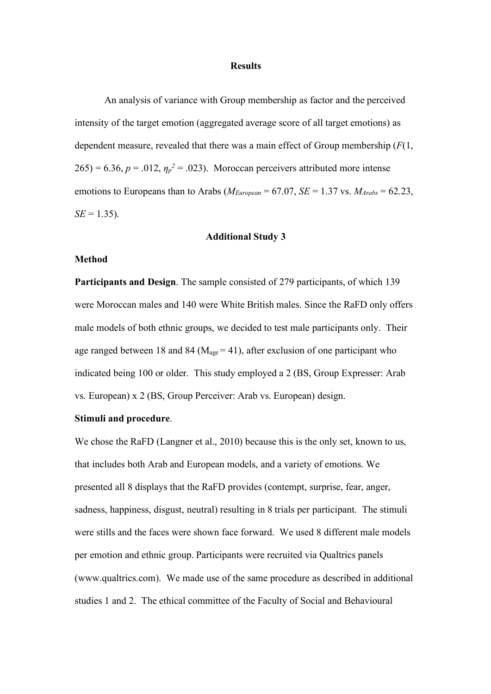### **Results**

An analysis of variance with Group membership as factor and the perceived intensity of the target emotion (aggregated average score of all target emotions) as dependent measure, revealed that there was a main effect of Group membership (*F*(1,  $265$ ) = 6.36,  $p = .012$ ,  $\eta_p^2 = .023$ ). Moroccan perceivers attributed more intense emotions to Europeans than to Arabs ( $M_{European} = 67.07$ ,  $SE = 1.37$  vs.  $M_{Arabs} = 62.23$ ,  $SE = 1.35$ ).

#### **Additional Study 3**

### **Method**

**Participants and Design**. The sample consisted of 279 participants, of which 139 were Moroccan males and 140 were White British males. Since the RaFD only offers male models of both ethnic groups, we decided to test male participants only. Their age ranged between 18 and 84 ( $M_{\text{age}} = 41$ ), after exclusion of one participant who indicated being 100 or older. This study employed a 2 (BS, Group Expresser: Arab vs. European) x 2 (BS, Group Perceiver: Arab vs. European) design.

# **Stimuli and procedure**.

We chose the RaFD (Langner et al., 2010) because this is the only set, known to us, that includes both Arab and European models, and a variety of emotions. We presented all 8 displays that the RaFD provides (contempt, surprise, fear, anger, sadness, happiness, disgust, neutral) resulting in 8 trials per participant. The stimuli were stills and the faces were shown face forward. We used 8 different male models per emotion and ethnic group. Participants were recruited via Qualtrics panels (www.qualtrics.com). We made use of the same procedure as described in additional studies 1 and 2. The ethical committee of the Faculty of Social and Behavioural